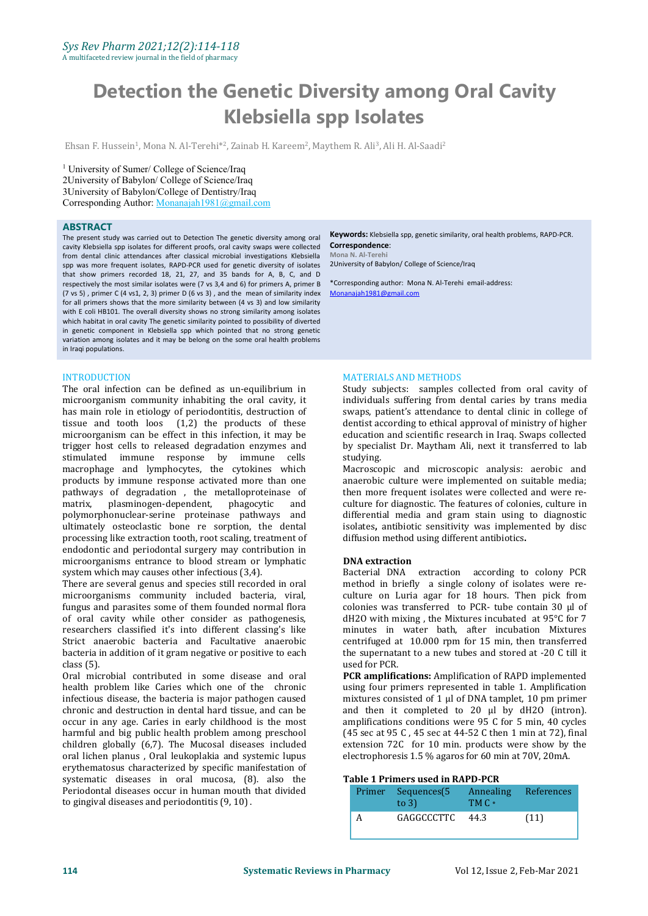# **Detection the Genetic Diversity among Oral Cavity Klebsiella spp Isolates**

Ehsan F. Hussein<sup>1</sup>, Mona N. Al-Terehi\*<sup>2</sup>, Zainab H. Kareem<sup>2</sup>, Maythem R. Ali<sup>3</sup>, Ali H. Al-Saadi<sup>2</sup>

<sup>1</sup> University of Sumer/College of Science/Iraq 2University of Babylon/ College of Science/Iraq 3University of Babylon/College of Dentistry/Iraq Corresponding Author: [Monanajah1981@gmail.com](mailto:Monanajah1981@gmail.com)

#### **ABSTRACT**

The present study was carried out to Detection The genetic diversity among oral cavity Klebsiella spp isolates for different proofs, oral cavity swaps were collected from dental clinic attendances after classical microbial investigations Klebsiella spp was more frequent isolates, RAPD-PCR used for genetic diversity of isolates that show primers recorded 18, 21, 27, and 35 bands for A, B, C, and D respectively the most similar isolates were (7 vs 3,4 and 6) for primers A, primer B (7 vs 5) , primer C (4 vs1, 2, 3) primer D (6 vs 3) , and the mean of similarity index for all primers shows that the more similarity between (4 vs 3) and low similarity with E coli HB101. The overall diversity shows no strong similarity among isolates which habitat in oral cavity The genetic similarity pointed to possibility of diverted in genetic component in Klebsiella spp which pointed that no strong genetic variation among isolates and it may be belong on the some oral health problems in Iraqi populations.

#### INTRODUCTION

The oral infection can be defined as un-equilibrium in microorganism community inhabiting the oral cavity, it has main role in etiology of periodontitis, destruction of tissue and tooth loos (1,2) the products of these microorganism can be effect in this infection, it may be trigger host cells to released degradation enzymes and stimulated immune response by immune cells macrophage and lymphocytes, the cytokines which products by immune response activated more than one pathways of degradation, the metalloproteinase of matrix, plasminogen-dependent, phagocytic and plasminogen-dependent, polymorphonuclear-serine proteinase pathways and ultimately osteoclastic bone re sorption, the dental processing like extraction tooth, root scaling, treatment of endodontic and periodontal surgery may contribution in microorganisms entrance to blood stream or lymphatic system which may causes other infectious (3,4).

There are several genus and species still recorded in oral microorganisms community included bacteria, viral, fungus and parasites some of them founded normal flora of oral cavity while other consider as pathogenesis, researchers classified it's into different classing's like Strict anaerobic bacteria and Facultative anaerobic bacteria in addition of it gram negative or positive to each the supernatant class (5). class (5).

Oral microbial contributed in some disease and oral health problem like Caries which one of the chronic infectious disease, the bacteria is major pathogen caused occur in any age. Caries in early childhood is the most harmful and big public health problem among preschool children globally  $(6,7)$ . The Mucosal diseases included oral lichen planus , Oral leukoplakia and systemic lupus erythematosus characterized by specific manifestation of systematic diseases in oral mucosa, (8). also the Periodontal diseases occur in human mouth that divided to gingival diseases and periodontitis (9, 10) .

**Keywords:** Klebsiella spp, genetic similarity, oral health problems, RAPD-PCR. **Correspondence**: **Mona N. Al-Terehi** 2University of Babylon/ College of Science/Iraq

\*Corresponding author: Mona N. Al-Terehi email-address: [Monanajah1981@gmail.com](mailto:Monanajah1981@gmail.com)

# MATERIALS AND METHODS

Study subjects: samples collected from oral cavity of individuals suffering from dental caries by trans media swaps, patient's attendance to dental clinic in college of dentist according to ethical approval of ministry of higher education and scientific research in Iraq. Swaps collected by specialist Dr. Maytham Ali, next it transferred to lab studying.

Macroscopic and microscopic analysis: aerobic and anaerobic culture were implemented on suitable media; then more frequent isolates were collected and were re culture for diagnostic. The features of colonies, culture in differential media and gram stain using to diagnostic isolates**,** antibiotic sensitivity was implemented by disc diffusion method using different antibiotics**.**

#### **DNA extraction**

Bacterial DNA extraction according to colony PCR method in briefly a single colony of isolates were re culture on Luria agar for 18 hours. Then pick from colonies was transferred to PCR- tube contain 30 µl of dH2O with mixing , the Mixtures incubated at 95°C for 7 minutes in water bath, after incubation Mixtures centrifuged at 10.000 rpm for 15 min, then transferred the supernatant to a new tubes and stored at -20 C till it

PCR amplifications: Amplification of RAPD implemented using four primers represented in table 1. Amplification mixtures consisted of 1 µl of DNA tamplet, 10 pm primer and then it completed to 20 µl by dH2O (intron). amplifications conditions were 95 C for 5 min, 40 cycles (45 sec at 95 C , 45 sec at 44-52 C then 1 min at 72), final extension 72C for 10 min. products were show by the electrophoresis 1.5 % agaros for 60 min at 70V, 20mA.

## **Table 1 Primers used in RAPD-PCR**

|  | Primer Sequences(5 Annealing References<br>to $3$ ) | TM C • |      |
|--|-----------------------------------------------------|--------|------|
|  | GAGGCCCTTC                                          | 44.3   | (11) |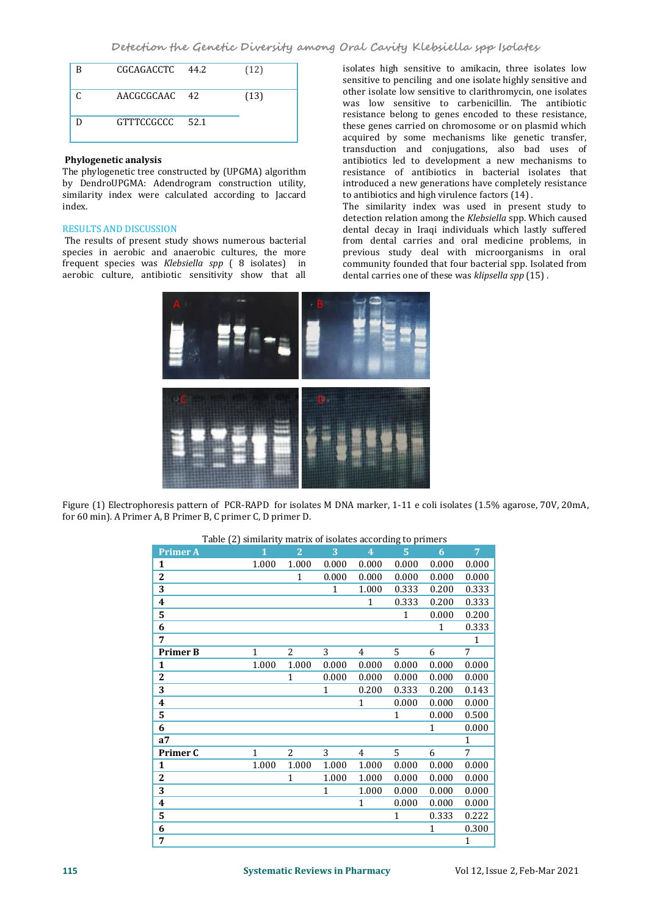**Detection the Genetic Diversity among Oral Cavity Klebsiella spp Isolates**

| R | CGCAGACCTC 44.2 | (12) |
|---|-----------------|------|
|   | AACGCGCAAC 42   | (13) |
|   | GTTTCCGCCC 52.1 |      |

# **Phylogenetic analysis**

The phylogenetic tree constructed by (UPGMA) algorithm by DendroUPGMA: Adendrogram construction utility, similarity index were calculated according to Jaccard index.

## RESULTS AND DISCUSSION

The results of present study shows numerous bacterial species in aerobic and anaerobic cultures, the more frequent species was *Klebsiella spp* ( 8 isolates) in aerobic culture, antibiotic sensitivity show that all

isolates high sensitive to amikacin, three isolates low sensitive to penciling and one isolate highly sensitive and other isolate low sensitive to clarithromycin, one isolates was low sensitive to carbenicillin. The antibiotic resistance belong to genes encoded to these resistance, these genes carried on chromosome or on plasmid which acquired by some mechanisms like genetic transfer, transduction and conjugations, also bad uses of antibiotics led to development a new mechanisms to resistance of antibiotics in bacterial isolates that introduced a new generations have completely resistance to antibiotics and high virulence factors (14) .

The similarity index was used in present study to detection relation among the *Klebsiella* spp. Which caused dental decay in Iraqi individuals which lastly suffered from dental carries and oral medicine problems, in previous study deal with microorganisms in oral community founded that four bacterial spp. Isolated from dental carries one of these was *klipsella spp* (15) .



Figure (1) Electrophoresis pattern of PCR-RAPD for isolates M DNA marker, 1-11 e coli isolates (1.5% agarose, 70V, 20mA, for 60 min). A Primer A, B Primer B, C primer C, D primer D.

|  | Table (2) similarity matrix of isolates according to primers |  |
|--|--------------------------------------------------------------|--|
|--|--------------------------------------------------------------|--|

| <b>Primer A</b>         | $\mathbf{1}$ | $\overline{2}$ | 3            | $\overline{4}$ | $\overline{5}$ | 6            | $\overline{7}$ |
|-------------------------|--------------|----------------|--------------|----------------|----------------|--------------|----------------|
| $\mathbf{1}$            | 1.000        | 1.000          | 0.000        | 0.000          | 0.000          | 0.000        | 0.000          |
| $\boldsymbol{2}$        |              | $\mathbf{1}$   | 0.000        | 0.000          | 0.000          | 0.000        | 0.000          |
| 3                       |              |                | $\mathbf{1}$ | 1.000          | 0.333          | 0.200        | 0.333          |
| $\overline{\mathbf{4}}$ |              |                |              | $\mathbf{1}$   | 0.333          | 0.200        | 0.333          |
| 5                       |              |                |              |                | $\mathbf{1}$   | 0.000        | 0.200          |
| 6                       |              |                |              |                |                | $\mathbf{1}$ | 0.333          |
| 7                       |              |                |              |                |                |              | $\mathbf{1}$   |
| <b>Primer B</b>         | $\mathbf{1}$ | 2              | 3            | 4              | $5^{\circ}$    | 6            | $\overline{7}$ |
| 1                       | 1.000        | 1.000          | 0.000        | 0.000          | 0.000          | 0.000        | 0.000          |
| $\overline{2}$          |              | $\mathbf{1}$   | 0.000        | 0.000          | 0.000          | 0.000        | 0.000          |
| 3                       |              |                | 1            | 0.200          | 0.333          | 0.200        | 0.143          |
| $\overline{\mathbf{4}}$ |              |                |              | $\mathbf{1}$   | 0.000          | 0.000        | 0.000          |
| 5                       |              |                |              |                | 1              | 0.000        | 0.500          |
| 6                       |              |                |              |                |                | $\mathbf{1}$ | 0.000          |
| a <sub>7</sub>          |              |                |              |                |                |              | $\mathbf{1}$   |
| Primer C                | $\mathbf{1}$ | 2              | 3            | 4              | 5              | 6            | $\overline{7}$ |
| $\mathbf{1}$            | 1.000        | 1.000          | 1.000        | 1.000          | 0.000          | 0.000        | 0.000          |
| $\mathbf{2}$            |              | 1              | 1.000        | 1.000          | 0.000          | 0.000        | 0.000          |
| 3                       |              |                | $\mathbf{1}$ | 1.000          | 0.000          | 0.000        | 0.000          |
| $\overline{\mathbf{4}}$ |              |                |              | $\mathbf{1}$   | 0.000          | 0.000        | 0.000          |
| 5                       |              |                |              |                | $\mathbf{1}$   | 0.333        | 0.222          |
| 6                       |              |                |              |                |                | $\mathbf{1}$ | 0.300          |
| 7                       |              |                |              |                |                |              | $\mathbf{1}$   |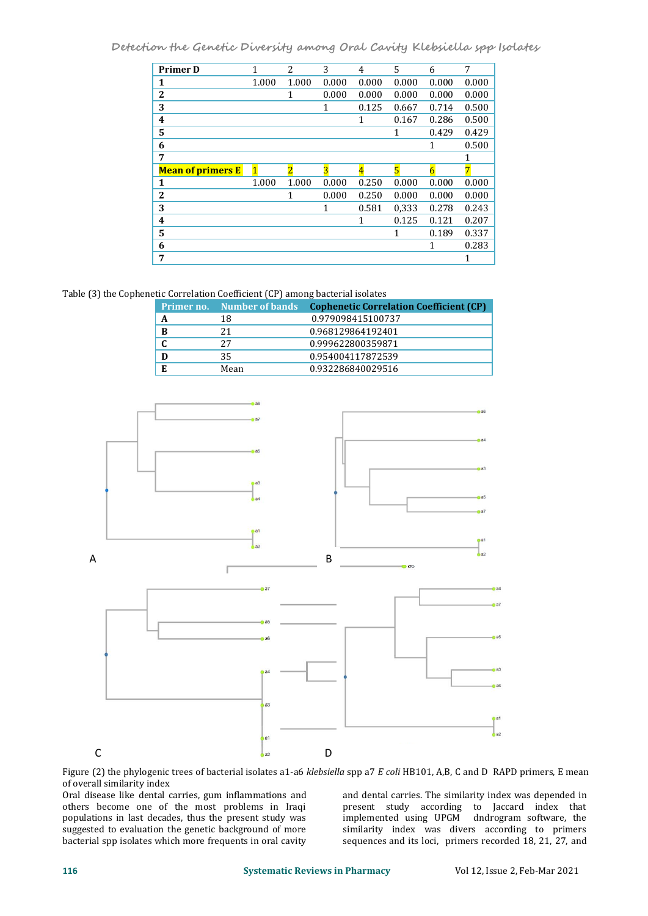**Detection the Genetic Diversity among Oral Cavity Klebsiella spp Isolates**

| <b>Primer D</b>          |              | 2              | 3            | $\overline{4}$ | 5            | 6            | 7     |
|--------------------------|--------------|----------------|--------------|----------------|--------------|--------------|-------|
| 1                        | 1.000        | 1.000          | 0.000        | 0.000          | 0.000        | 0.000        | 0.000 |
| $\mathbf{2}$             |              | $\mathbf{1}$   | 0.000        | 0.000          | 0.000        | 0.000        | 0.000 |
| 3                        |              |                | 1            | 0.125          | 0.667        | 0.714        | 0.500 |
| $\overline{\mathbf{4}}$  |              |                |              | 1              | 0.167        | 0.286        | 0.500 |
| 5                        |              |                |              |                | $\mathbf{1}$ | 0.429        | 0.429 |
| 6                        |              |                |              |                |              | $\mathbf{1}$ | 0.500 |
| 7                        |              |                |              |                |              |              | 1     |
|                          |              |                |              |                |              |              |       |
| <b>Mean of primers E</b> | $\mathbf{1}$ | $\overline{2}$ | 3            | $\overline{4}$ | 5            | 6            | 7     |
| 1                        | 1.000        | 1.000          | 0.000        | 0.250          | 0.000        | 0.000        | 0.000 |
| $\mathbf{2}$             |              | 1              | 0.000        | 0.250          | 0.000        | 0.000        | 0.000 |
| 3                        |              |                | $\mathbf{1}$ | 0.581          | 0,333        | 0.278        | 0.243 |
| $\boldsymbol{4}$         |              |                |              | $\mathbf{1}$   | 0.125        | 0.121        | 0.207 |
| $\overline{5}$           |              |                |              |                | 1            | 0.189        | 0.337 |
| 6                        |              |                |              |                |              | 1            | 0.283 |

Table (3) the Cophenetic [Correlation](http://en.wikipedia.org/wiki/Cophenetic_correlation) Coefficient (CP) among bacterial isolates

|   | <b>Primer no.</b> Number of bands | <b>Cophenetic Correlation Coefficient (CP)</b> |
|---|-----------------------------------|------------------------------------------------|
| A | 18                                | 0.979098415100737                              |
| B | 21                                | 0.968129864192401                              |
|   | 27                                | 0.999622800359871                              |
| D | 35                                | 0.954004117872539                              |
| E | Mean                              | 0.932286840029516                              |



Figure (2) the phylogenic trees of bacterial isolates a1-a6 *[klebsiella](https://www.google.com/search?client=firefox-b-d&q=klebsiella&spell=1&sa=X&ved=0ahUKEwilr7Xlme7jAhXBgVwKHbUACmYQkeECCCsoAA)* spp a7 *E coli* HB101, A,B, C and D RAPD primers, E mean of overall similarity index

Oral disease like dental carries, gum inflammations and others become one of the most problems in Iraqi populations in last decades, thus the present study was suggested to evaluation the genetic background of more bacterial spp isolates which more frequents in oral cavity

and dental carries. The similarity index was depended in present study according to Jaccard index that implemented using UPGM dndrogram software, the similarity index was divers according to primers sequences and its loci, primers recorded 18, 21, 27, and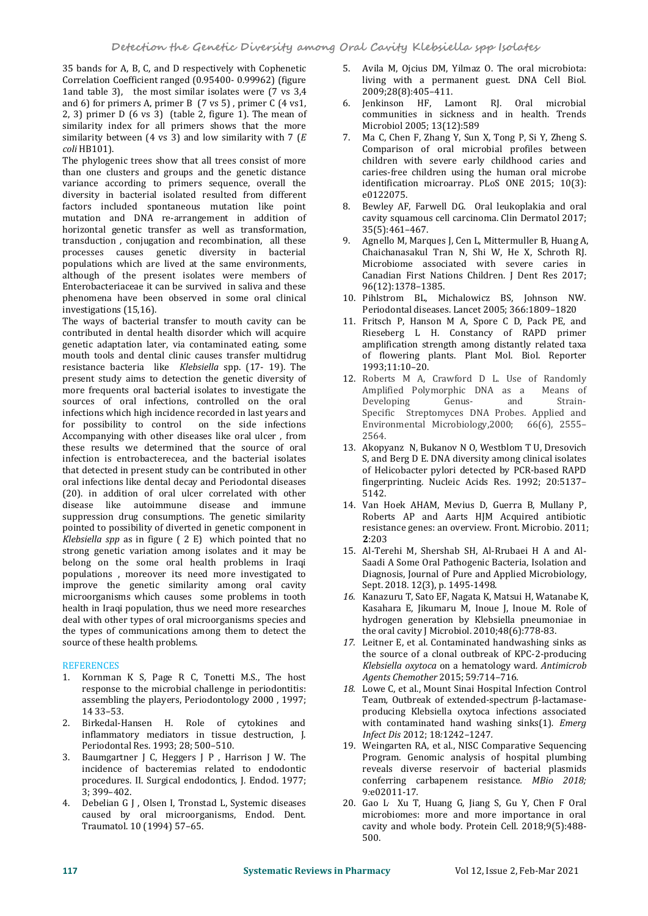35 bands for A, B, C, and D respectively with Cophenetic Correlation Coefficient ranged (0.95400- 0.99962) (figure 1and table 3), the most similar isolates were (7 vs 3,4 and 6) for primers A, primer B  $(7 \text{ vs } 5)$ , primer C  $(4 \text{ vs } 1)$ , 2, 3) primer D  $(6 \text{ vs } 3)$  (table 2, figure 1). The mean of similarity index for all primers shows that the more similarity between (4 vs 3) and low similarity with 7 (*E coli* HB101).

The phylogenic trees show that all trees consist of more than one clusters and groups and the genetic distance variance according to primers sequence, overall the diversity in bacterial isolated resulted from different<br>factors included spontaneous mutation like point 8. factors included spontaneous mutation like point mutation and DNA re-arrangement in addition of horizontal genetic transfer as well as transformation,<br>transduction, conjugation and recombination, all these transduction , conjugation and recombination, all these processes causes genetic diversity in bacterial populations which are lived at the same environments, although of the present isolates were members of Enterobacteriaceae it can be survived in saliva and these phenomena have been observed in some oral clinical investigations (15,16).

The ways of bacterial transfer to mouth cavity can be contributed in dental health disorder which will acquire genetic adaptation later, via contaminated eating, some mouth tools and dental clinic causes transfer multidrug resistance bacteria like *Klebsiella* spp. (17- 19). The present study aims to detection the genetic diversity of more frequents oral bacterial isolates to investigate the  $\qquad$  Amplified 1 sources of oral infections. controlled on the oral  $\qquad$  Developing sources of oral infections, controlled on the oral infections which high incidence recorded in last years and<br>for possibility to control on the side infections for possibility to control Accompanying with other diseases like oral ulcer , from these results we determined that the source of oral infection is entrobacterecea, and the bacterial isolates that detected in present study can be contributed in other oral infections like dental decay and Periodontal diseases (20). in addition of oral ulcer correlated with other disease like autoimmune disease and immune suppression drug consumptions. The genetic similarity pointed to possibility of diverted in genetic component in Klebsiella spp as in figure ( 2 E) which pointed that no **2**:203 strong genetic variation among isolates and it may be belong on the some oral health problems in Iraqi populations, moreover its need more investigated to biagnosis, Journal of Pure and A improve the genetic similarity among oral cavity Sept. 2018. 12(3), p. 1495-1498. improve the genetic similarity among oral cavity microorganisms which causes some problems in tooth health in Iraqi population, thus we need more researches deal with other types of oral microorganisms species and hydrogen generation by Klebsiella pneumor<br>the types of communications among them to detect the the oral cavity J Microbiol. 2010;48(6):778-83. the types of communications among them to detect the source of these health problems.

# REFERENCES

- 1. Kornman K S, Page R C, Tonetti M.S., The host response to the microbial challenge in periodontitis: assembling the players, Periodontology 2000, 1997;<br>14 33-53 14 33–53.
- 2. Birkedal-Hansen H. Role of cytokines and inflammatory mediators in tissue destruction, J. Periodontal Res. 1993; 28; 500–510.
- 3. Baumgartner J C, Heggers J P , Harrison J W. The incidence of bacteremias related to endodontic procedures. II. Surgical endodontics, J. Endod. 1977; 3; 399–402.
- 4. Debelian G J , Olsen I, Tronstad L, Systemic diseases caused by oral microorganisms, Endod. Dent. Traumatol. 10 (1994) 57–65.
- 5.Avila M, Ojcius DM, Yilmaz O. The oral microbiota: living with a permanent guest. DNA Cell Biol. 2009;28(8):405–411.
- Jenkinson HF, Lamont RJ. Oral microbial communities in sickness and in health. Trends Microbiol 2005; 13(12):589
- 7. Ma C, Chen F, Zhang Y, Sun X, Tong P, Si Y, Zheng S. Comparison of oral microbial profiles between children with severe early childhood caries and caries-free children using the human oral microbe identification microarray. PLoS ONE 2015; 10(3): e0122075.
- 8. Bewley AF, Farwell DG. Oral leukoplakia and oral cavity squamous cell carcinoma. Clin Dermatol 2017; 35(5):461–467.
- Agnello M, Marques J, Cen L, Mittermuller B, Huang A, Chaichanasakul Tran N, Shi W, He X, Schroth RJ. Microbiome associated with severe caries in Canadian First Nations Children. J Dent Res 2017; 96(12):1378–1385.
- 10. Pihlstrom BL, Michalowicz BS, Johnson NW. Periodontal diseases. Lancet 2005; 366:1809–1820
- 11. Fritsch P, Hanson M A, Spore C D, Pack PE, and Rieseberg L H. Constancy of RAPD primer amplification strength among distantly related taxa of flowering plants. Plant Mol. Biol. Reporter 1993;11:10–20.
- 12. Roberts M A, Crawford D L. Use of Randomly Amplified Polymorphic DNA as a Means of<br>Developing Genus- and Strain-Developing Genus- and Strain- Specific Streptomyces DNA Probes. Applied and Environmental Microbiology,2000; 66(6), 2555– 2564.
- 13. Akopyanz N, Bukanov N O, Westblom T U, Dresovich S, and Berg D E. DNA diversity among clinical isolates of Helicobacter pylori detected by PCR-based RAPD fingerprinting. Nucleic Acids Res. 1992; 20:5137– 5142.
- 14. Van Hoek AHAM, Mevius D, Guerra B, Mullany P, Roberts AP and Aarts HJM Acquired antibiotic resistance genes: an overview. Front. Microbio. 2011; **2**:203
- 15. Al-Terehi M, Shershab SH, Al-Rrubaei H A and Al- Saadi A Some Oral Pathogenic Bacteria, Isolation and Diagnosis, Journal of Pure and Applied Microbiology,
- 16. Kanazuru T, Sato EF, Nagata K, Matsui H, Watanabe K, Kasahara E, Jikumaru M, Inoue J, Inoue M.Role of hydrogen generation by Klebsiella pneumoniae in
- 17. Leitner E, et al. Contaminated handwashing sinks as the source of a clonal outbreak of KPC-2-producing *Klebsiella oxytoca* on a hematology ward*. Antimicrob*
- 18. Lowe C, et al., Mount Sinai Hospital Infection Control Team*,* Outbreak of extended-spectrum β-lactamase producing Klebsiella oxytoca infections associated with contaminated hand washing sinks(1)*. Emerg Infect Dis* 2012; 18*:*1242*–*1247*.*
- 19. Weingarten RA, et al., NISC Comparative Sequencing Program*.* Genomic analysis of hospital plumbing reveals diverse reservoir of bacterial plasmids conferring carbapenem resistance*. MBio 2018;* 9*:*e02011-17*.*
- 20. [Gao](https://www.ncbi.nlm.nih.gov/pubmed/?term=Gao%20L%5BAuthor%5D&cauthor=true&cauthor_uid=29736705) L , [Xu](https://www.ncbi.nlm.nih.gov/pubmed/?term=Xu%20T%5BAuthor%5D&cauthor=true&cauthor_uid=29736705) T, [Huang](https://www.ncbi.nlm.nih.gov/pubmed/?term=Huang%20G%5BAuthor%5D&cauthor=true&cauthor_uid=29736705) G, [Jiang](https://www.ncbi.nlm.nih.gov/pubmed/?term=Jiang%20S%5BAuthor%5D&cauthor=true&cauthor_uid=29736705) S, [Gu](https://www.ncbi.nlm.nih.gov/pubmed/?term=Gu%20Y%5BAuthor%5D&cauthor=true&cauthor_uid=29736705) Y, [Chen](https://www.ncbi.nlm.nih.gov/pubmed/?term=Chen%20F%5BAuthor%5D&cauthor=true&cauthor_uid=29736705) F Oral microbiomes: more and more importance in oral cavity and whole body. Protein Cell. 2018;9(5):488- 500.